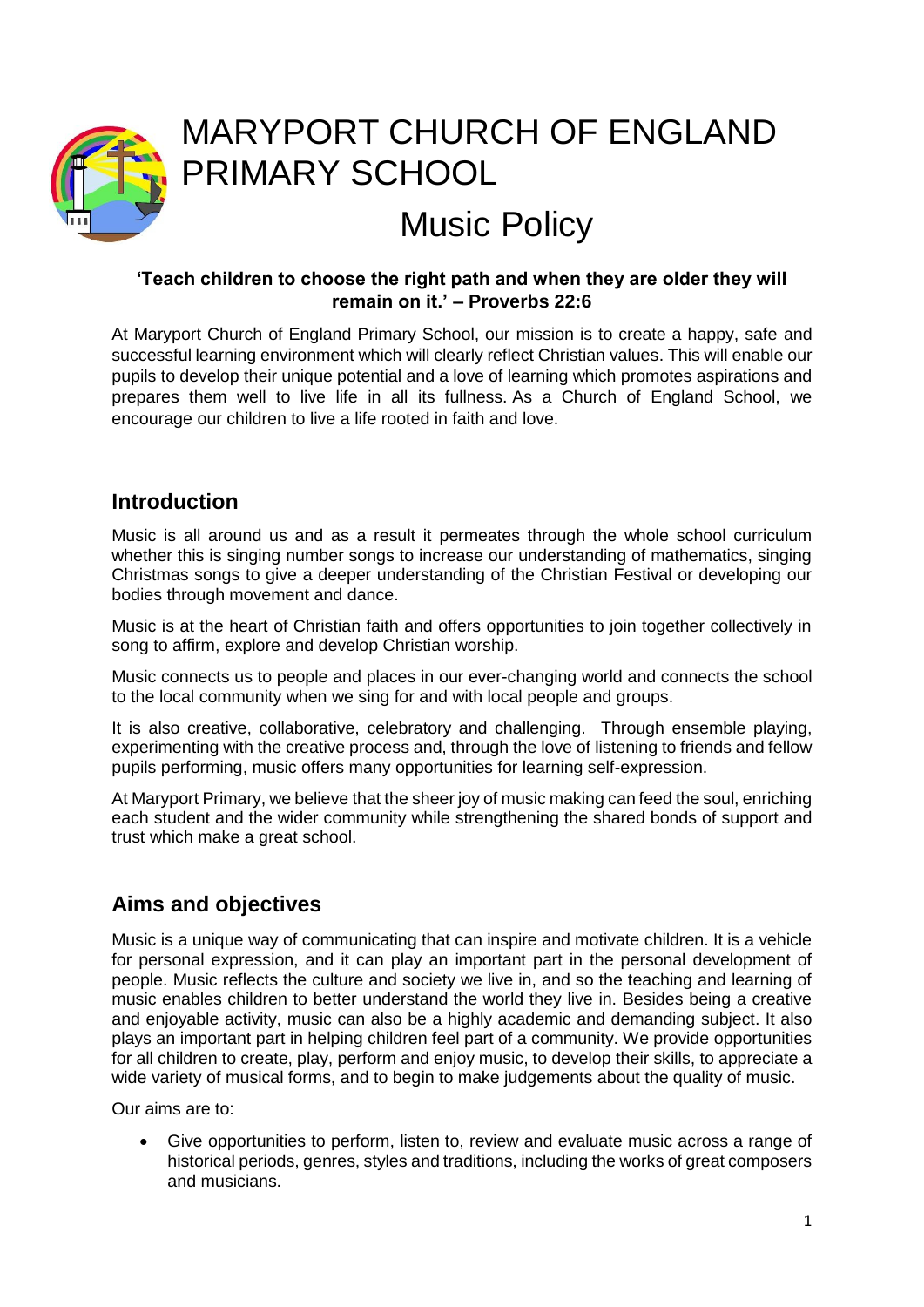

# MARYPORT CHURCH OF ENGLAND PRIMARY SCHOOL Music Policy

#### **'Teach children to choose the right path and when they are older they will remain on it.' – Proverbs 22:6**

At Maryport Church of England Primary School, our mission is to create a happy, safe and successful learning environment which will clearly reflect Christian values. This will enable our pupils to develop their unique potential and a love of learning which promotes aspirations and prepares them well to live life in all its fullness. As a Church of England School, we encourage our children to live a life rooted in faith and love.

#### **Introduction**

Music is all around us and as a result it permeates through the whole school curriculum whether this is singing number songs to increase our understanding of mathematics, singing Christmas songs to give a deeper understanding of the Christian Festival or developing our bodies through movement and dance.

Music is at the heart of Christian faith and offers opportunities to join together collectively in song to affirm, explore and develop Christian worship.

Music connects us to people and places in our ever-changing world and connects the school to the local community when we sing for and with local people and groups.

It is also creative, collaborative, celebratory and challenging. Through ensemble playing, experimenting with the creative process and, through the love of listening to friends and fellow pupils performing, music offers many opportunities for learning self-expression.

At Maryport Primary, we believe that the sheer joy of music making can feed the soul, enriching each student and the wider community while strengthening the shared bonds of support and trust which make a great school.

## **Aims and objectives**

Music is a unique way of communicating that can inspire and motivate children. It is a vehicle for personal expression, and it can play an important part in the personal development of people. Music reflects the culture and society we live in, and so the teaching and learning of music enables children to better understand the world they live in. Besides being a creative and enjoyable activity, music can also be a highly academic and demanding subject. It also plays an important part in helping children feel part of a community. We provide opportunities for all children to create, play, perform and enjoy music, to develop their skills, to appreciate a wide variety of musical forms, and to begin to make judgements about the quality of music.

Our aims are to:

• Give opportunities to perform, listen to, review and evaluate music across a range of historical periods, genres, styles and traditions, including the works of great composers and musicians.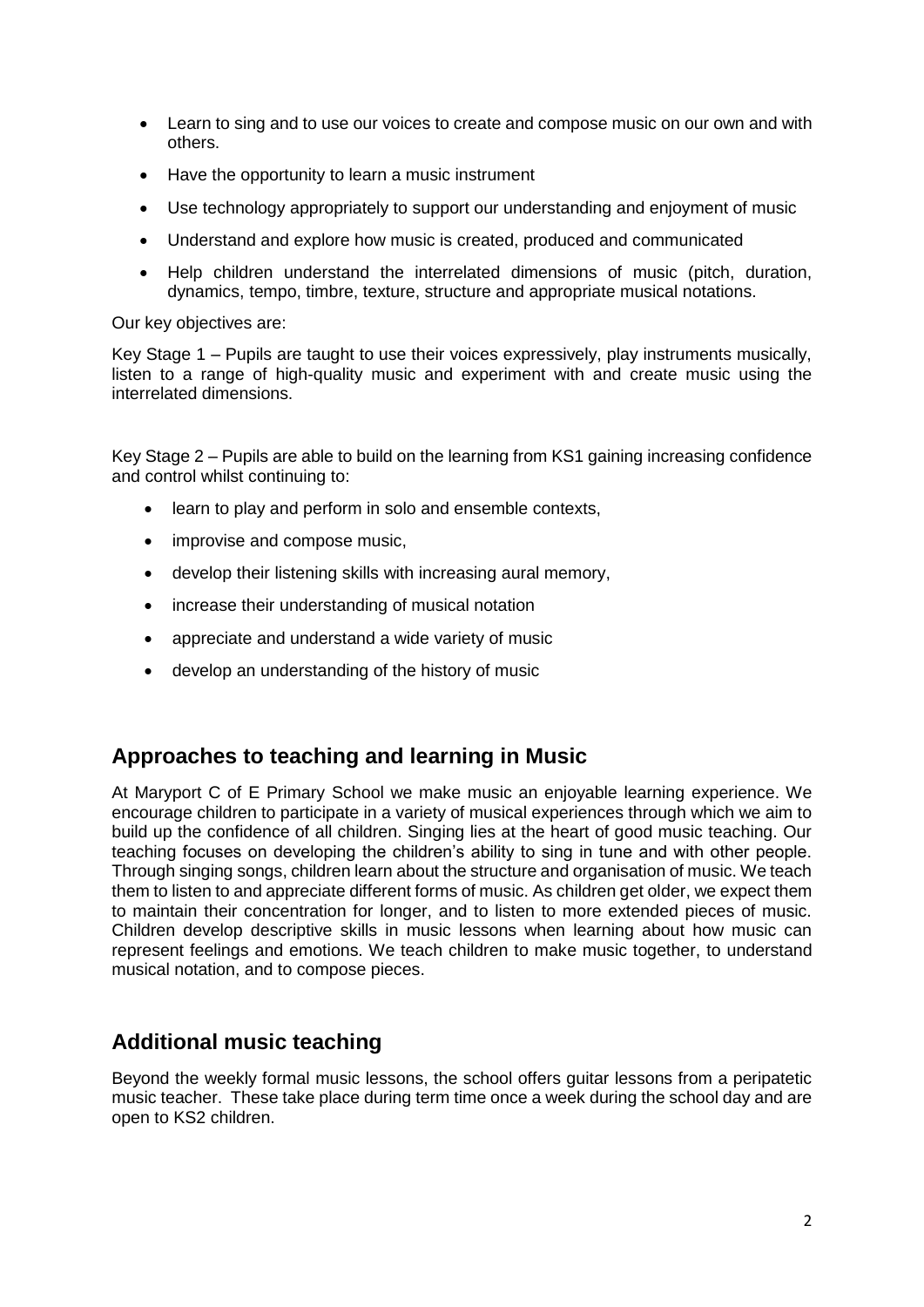- Learn to sing and to use our voices to create and compose music on our own and with others.
- Have the opportunity to learn a music instrument
- Use technology appropriately to support our understanding and enjoyment of music
- Understand and explore how music is created, produced and communicated
- Help children understand the interrelated dimensions of music (pitch, duration, dynamics, tempo, timbre, texture, structure and appropriate musical notations.

Our key objectives are:

Key Stage 1 – Pupils are taught to use their voices expressively, play instruments musically, listen to a range of high-quality music and experiment with and create music using the interrelated dimensions.

Key Stage 2 – Pupils are able to build on the learning from KS1 gaining increasing confidence and control whilst continuing to:

- learn to play and perform in solo and ensemble contexts,
- improvise and compose music,
- develop their listening skills with increasing aural memory,
- increase their understanding of musical notation
- appreciate and understand a wide variety of music
- develop an understanding of the history of music

#### **Approaches to teaching and learning in Music**

At Maryport C of E Primary School we make music an enjoyable learning experience. We encourage children to participate in a variety of musical experiences through which we aim to build up the confidence of all children. Singing lies at the heart of good music teaching. Our teaching focuses on developing the children's ability to sing in tune and with other people. Through singing songs, children learn about the structure and organisation of music. We teach them to listen to and appreciate different forms of music. As children get older, we expect them to maintain their concentration for longer, and to listen to more extended pieces of music. Children develop descriptive skills in music lessons when learning about how music can represent feelings and emotions. We teach children to make music together, to understand musical notation, and to compose pieces.

## **Additional music teaching**

Beyond the weekly formal music lessons, the school offers guitar lessons from a peripatetic music teacher. These take place during term time once a week during the school day and are open to KS2 children.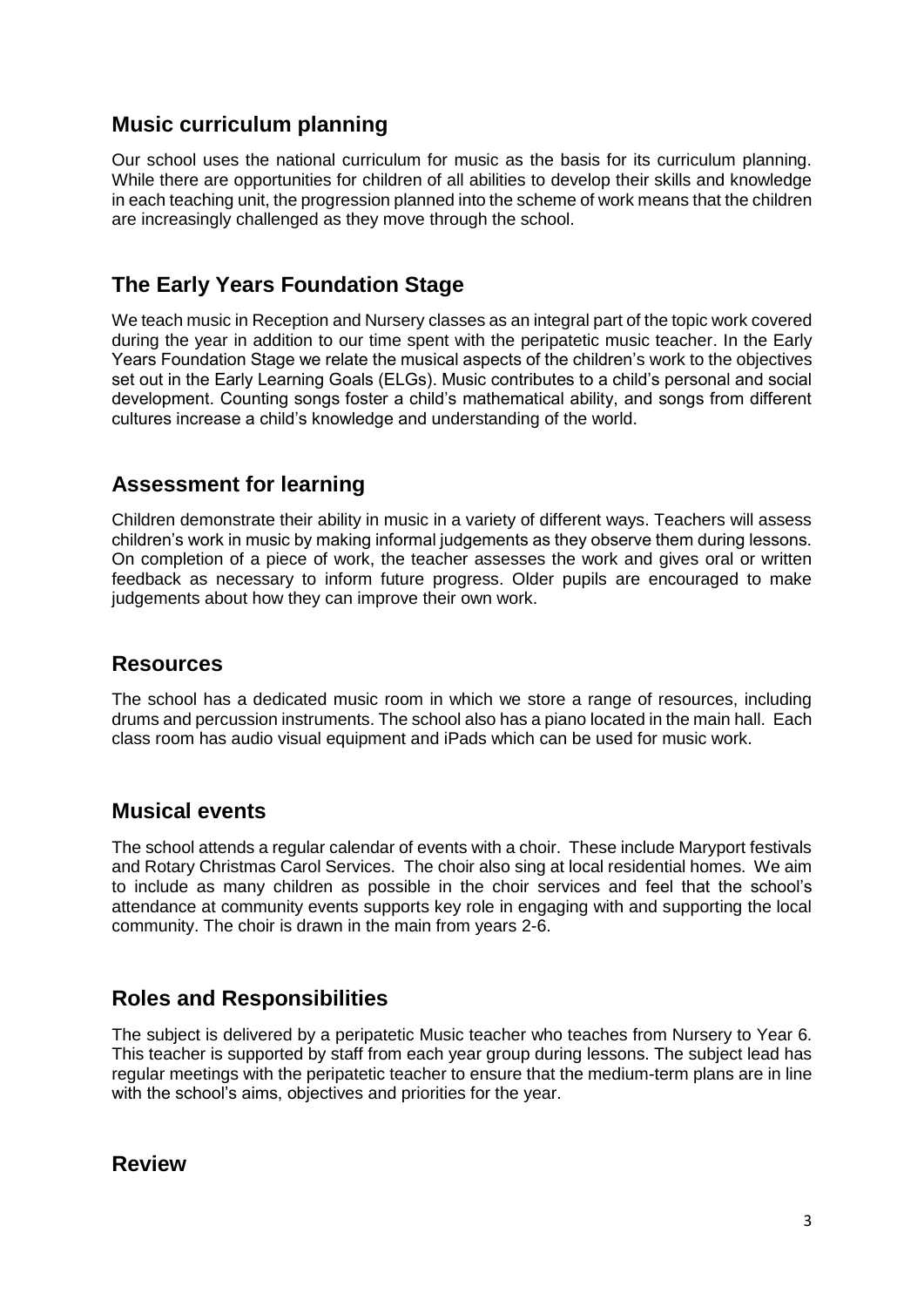### **Music curriculum planning**

Our school uses the national curriculum for music as the basis for its curriculum planning. While there are opportunities for children of all abilities to develop their skills and knowledge in each teaching unit, the progression planned into the scheme of work means that the children are increasingly challenged as they move through the school.

## **The Early Years Foundation Stage**

We teach music in Reception and Nursery classes as an integral part of the topic work covered during the year in addition to our time spent with the peripatetic music teacher. In the Early Years Foundation Stage we relate the musical aspects of the children's work to the objectives set out in the Early Learning Goals (ELGs). Music contributes to a child's personal and social development. Counting songs foster a child's mathematical ability, and songs from different cultures increase a child's knowledge and understanding of the world.

## **Assessment for learning**

Children demonstrate their ability in music in a variety of different ways. Teachers will assess children's work in music by making informal judgements as they observe them during lessons. On completion of a piece of work, the teacher assesses the work and gives oral or written feedback as necessary to inform future progress. Older pupils are encouraged to make judgements about how they can improve their own work.

#### **Resources**

The school has a dedicated music room in which we store a range of resources, including drums and percussion instruments. The school also has a piano located in the main hall. Each class room has audio visual equipment and iPads which can be used for music work.

#### **Musical events**

The school attends a regular calendar of events with a choir. These include Maryport festivals and Rotary Christmas Carol Services. The choir also sing at local residential homes. We aim to include as many children as possible in the choir services and feel that the school's attendance at community events supports key role in engaging with and supporting the local community. The choir is drawn in the main from years 2-6.

## **Roles and Responsibilities**

The subject is delivered by a peripatetic Music teacher who teaches from Nursery to Year 6. This teacher is supported by staff from each year group during lessons. The subject lead has regular meetings with the peripatetic teacher to ensure that the medium-term plans are in line with the school's aims, objectives and priorities for the year.